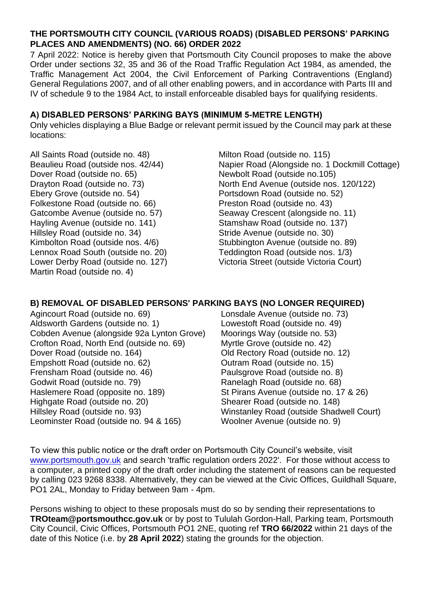## **THE PORTSMOUTH CITY COUNCIL (VARIOUS ROADS) (DISABLED PERSONS' PARKING PLACES AND AMENDMENTS) (NO. 66) ORDER 2022**

7 April 2022: Notice is hereby given that Portsmouth City Council proposes to make the above Order under sections 32, 35 and 36 of the Road Traffic Regulation Act 1984, as amended, the Traffic Management Act 2004, the Civil Enforcement of Parking Contraventions (England) General Regulations 2007, and of all other enabling powers, and in accordance with Parts III and IV of schedule 9 to the 1984 Act, to install enforceable disabled bays for qualifying residents.

## **A) DISABLED PERSONS' PARKING BAYS (MINIMUM 5-METRE LENGTH)**

Only vehicles displaying a Blue Badge or relevant permit issued by the Council may park at these locations:

All Saints Road (outside no. 48) Beaulieu Road (outside nos. 42/44) Dover Road (outside no. 65) Drayton Road (outside no. 73) Ebery Grove (outside no. 54) Folkestone Road (outside no. 66) Gatcombe Avenue (outside no. 57) Hayling Avenue (outside no. 141) Hillsley Road (outside no. 34) Kimbolton Road (outside nos. 4/6) Lennox Road South (outside no. 20) Lower Derby Road (outside no. 127) Martin Road (outside no. 4)

Milton Road (outside no. 115) Napier Road (Alongside no. 1 Dockmill Cottage) Newbolt Road (outside no.105) North End Avenue (outside nos. 120/122) Portsdown Road (outside no. 52) Preston Road (outside no. 43) Seaway Crescent (alongside no. 11) Stamshaw Road (outside no. 137) Stride Avenue (outside no. 30) Stubbington Avenue (outside no. 89) Teddington Road (outside nos. 1/3) Victoria Street (outside Victoria Court)

## **B) REMOVAL OF DISABLED PERSONS' PARKING BAYS (NO LONGER REQUIRED)**

Agincourt Road (outside no. 69) Aldsworth Gardens (outside no. 1) Cobden Avenue (alongside 92a Lynton Grove) Crofton Road, North End (outside no. 69) Dover Road (outside no. 164) Empshott Road (outside no. 62) Frensham Road (outside no. 46) Godwit Road (outside no. 79) Haslemere Road (opposite no. 189) Highgate Road (outside no. 20) Hillsley Road (outside no. 93) Leominster Road (outside no. 94 & 165)

Lonsdale Avenue (outside no. 73) Lowestoft Road (outside no. 49) Moorings Way (outside no. 53) Myrtle Grove (outside no. 42) Old Rectory Road (outside no. 12) Outram Road (outside no. 15) Paulsgrove Road (outside no. 8) Ranelagh Road (outside no. 68) St Pirans Avenue (outside no. 17 & 26) Shearer Road (outside no. 148) Winstanley Road (outside Shadwell Court) Woolner Avenue (outside no. 9)

To view this public notice or the draft order on Portsmouth City Council's website, visit [www.portsmouth.gov.uk](http://www.portsmouth.gov.uk/) and search 'traffic regulation orders 2022'. For those without access to a computer, a printed copy of the draft order including the statement of reasons can be requested by calling 023 9268 8338. Alternatively, they can be viewed at the Civic Offices, Guildhall Square, PO1 2AL, Monday to Friday between 9am - 4pm.

Persons wishing to object to these proposals must do so by sending their representations to **TROteam@portsmouthcc.gov.uk** or by post to Tululah Gordon-Hall, Parking team, Portsmouth City Council, Civic Offices, Portsmouth PO1 2NE, quoting ref **TRO 66/2022** within 21 days of the date of this Notice (i.e. by **28 April 2022**) stating the grounds for the objection.